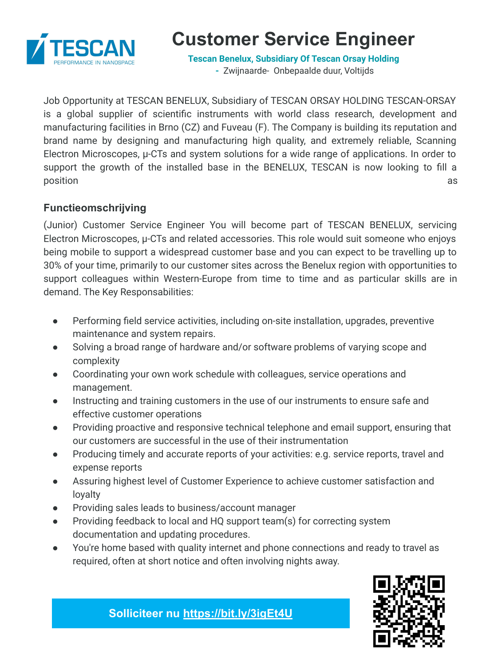

# **Customer Service Engineer**

**[Tescan Benelux, Subsidiary Of Tescan Orsay Holding](https://www.jobat.be/nl/jobs/bedrijven/tescan-benelux-bvba/28734)**

**-** Zwijnaarde- Onbepaalde duur, Voltijds

Job Opportunity at TESCAN BENELUX, Subsidiary of TESCAN ORSAY HOLDING TESCAN-ORSAY is a global supplier of scientific instruments with world class research, development and manufacturing facilities in Brno (CZ) and Fuveau (F). The Company is building its reputation and brand name by designing and manufacturing high quality, and extremely reliable, Scanning Electron Microscopes,  $\mu$ -CTs and system solutions for a wide range of applications. In order to support the growth of the installed base in the BENELUX, TESCAN is now looking to fill a position and a series of the series of the series of the series of the series of the series of the series of th

### **Functieomschrijving**

(Junior) Customer Service Engineer You will become part of TESCAN BENELUX, servicing Electron Microscopes, µ-CTs and related accessories. This role would suit someone who enjoys being mobile to support a widespread customer base and you can expect to be travelling up to 30% of your time, primarily to our customer sites across the Benelux region with opportunities to support colleagues within Western-Europe from time to time and as particular skills are in demand. The Key Responsabilities:

- Performing field service activities, including on-site installation, upgrades, preventive maintenance and system repairs.
- Solving a broad range of hardware and/or software problems of varying scope and complexity
- Coordinating your own work schedule with colleagues, service operations and management.
- Instructing and training customers in the use of our instruments to ensure safe and effective customer operations
- Providing proactive and responsive technical telephone and email support, ensuring that our customers are successful in the use of their instrumentation
- Producing timely and accurate reports of your activities: e.g. service reports, travel and expense reports
- Assuring highest level of Customer Experience to achieve customer satisfaction and loyalty
- Providing sales leads to business/account manager
- Providing feedback to local and HQ support team(s) for correcting system documentation and updating procedures.
- You're home based with quality internet and phone connections and ready to travel as required, often at short notice and often involving nights away.